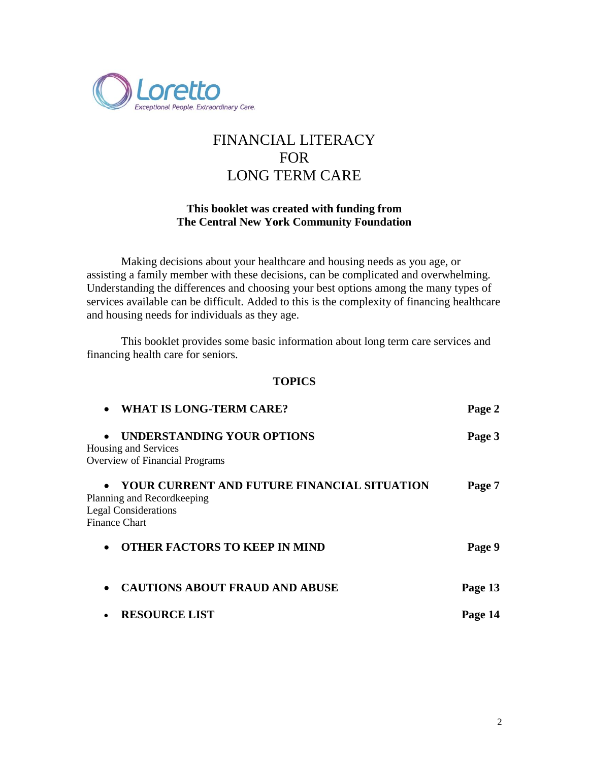

# FINANCIAL LITERACY FOR LONG TERM CARE

## **This booklet was created with funding from The Central New York Community Foundation**

Making decisions about your healthcare and housing needs as you age, or assisting a family member with these decisions, can be complicated and overwhelming. Understanding the differences and choosing your best options among the many types of services available can be difficult. Added to this is the complexity of financing healthcare and housing needs for individuals as they age.

This booklet provides some basic information about long term care services and financing health care for seniors.

#### **TOPICS**

| <b>WHAT IS LONG-TERM CARE?</b>                                                                                                                | Page 2  |
|-----------------------------------------------------------------------------------------------------------------------------------------------|---------|
| UNDERSTANDING YOUR OPTIONS<br>$\bullet$<br>Housing and Services<br><b>Overview of Financial Programs</b>                                      | Page 3  |
| YOUR CURRENT AND FUTURE FINANCIAL SITUATION<br>$\bullet$<br>Planning and Recordkeeping<br><b>Legal Considerations</b><br><b>Finance Chart</b> | Page 7  |
| <b>OTHER FACTORS TO KEEP IN MIND</b><br>$\bullet$                                                                                             | Page 9  |
| <b>CAUTIONS ABOUT FRAUD AND ABUSE</b><br>$\bullet$                                                                                            | Page 13 |
| <b>RESOURCE LIST</b>                                                                                                                          | Page 14 |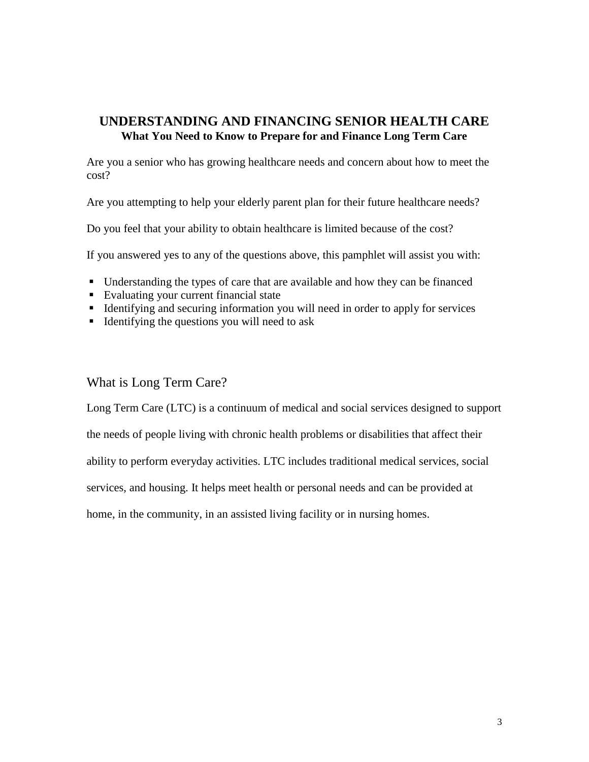## **UNDERSTANDING AND FINANCING SENIOR HEALTH CARE What You Need to Know to Prepare for and Finance Long Term Care**

Are you a senior who has growing healthcare needs and concern about how to meet the cost?

Are you attempting to help your elderly parent plan for their future healthcare needs?

Do you feel that your ability to obtain healthcare is limited because of the cost?

If you answered yes to any of the questions above, this pamphlet will assist you with:

- Understanding the types of care that are available and how they can be financed
- Evaluating your current financial state
- Identifying and securing information you will need in order to apply for services
- Identifying the questions you will need to ask

## What is Long Term Care?

Long Term Care (LTC) is a continuum of medical and social services designed to support the needs of people living with chronic health problems or disabilities that affect their ability to perform everyday activities. LTC includes traditional medical services, social services, and housing. It helps meet health or personal needs and can be provided at home, in the community, in an assisted living facility or in nursing homes.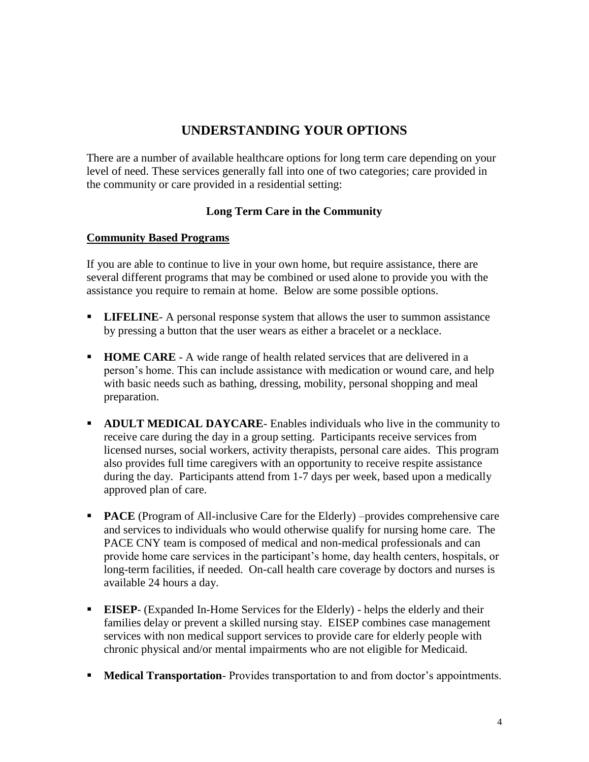## **UNDERSTANDING YOUR OPTIONS**

There are a number of available healthcare options for long term care depending on your level of need. These services generally fall into one of two categories; care provided in the community or care provided in a residential setting:

## **Long Term Care in the Community**

### **Community Based Programs**

If you are able to continue to live in your own home, but require assistance, there are several different programs that may be combined or used alone to provide you with the assistance you require to remain at home. Below are some possible options.

- **LIFELINE** A personal response system that allows the user to summon assistance by pressing a button that the user wears as either a bracelet or a necklace.
- **HOME CARE**  A wide range of health related services that are delivered in a person's home. This can include assistance with medication or wound care, and help with basic needs such as bathing, dressing, mobility, personal shopping and meal preparation.
- **ADULT MEDICAL DAYCARE** Enables individuals who live in the community to receive care during the day in a group setting. Participants receive services from licensed nurses, social workers, activity therapists, personal care aides. This program also provides full time caregivers with an opportunity to receive respite assistance during the day. Participants attend from 1-7 days per week, based upon a medically approved plan of care.
- **PACE** (Program of All-inclusive Care for the Elderly) –provides comprehensive care and services to individuals who would otherwise qualify for nursing home care. The PACE CNY team is composed of medical and non-medical professionals and can provide home care services in the participant's home, day health centers, hospitals, or long-term facilities, if needed. On-call health care coverage by doctors and nurses is available 24 hours a day.
- **EISEP** (Expanded In-Home Services for the Elderly) helps the elderly and their families delay or prevent a skilled nursing stay. EISEP combines case management services with non medical support services to provide care for elderly people with chronic physical and/or mental impairments who are not eligible for Medicaid.
- **Medical Transportation** Provides transportation to and from doctor's appointments.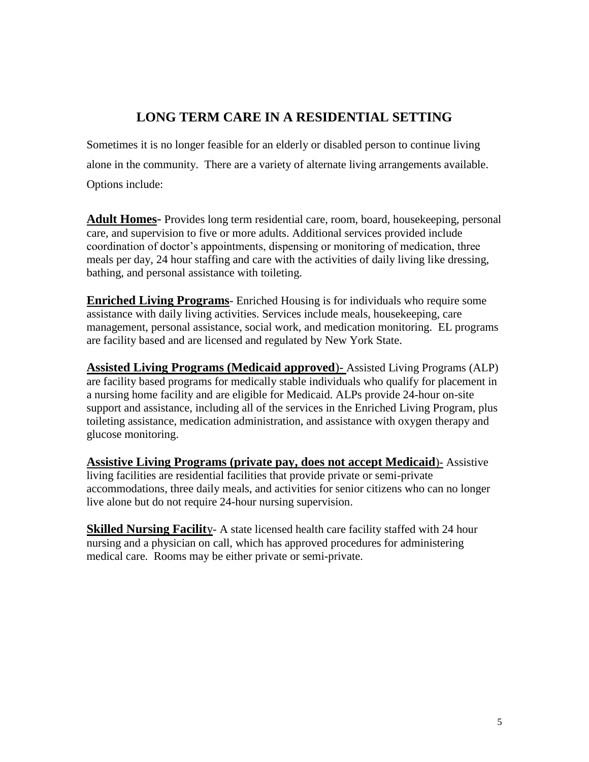# **LONG TERM CARE IN A RESIDENTIAL SETTING**

Sometimes it is no longer feasible for an elderly or disabled person to continue living alone in the community. There are a variety of alternate living arrangements available. Options include:

**Adult Homes**- Provides long term residential care, room, board, housekeeping, personal care, and supervision to five or more adults. Additional services provided include coordination of doctor's appointments, dispensing or monitoring of medication, three meals per day, 24 hour staffing and care with the activities of daily living like dressing, bathing, and personal assistance with toileting.

**Enriched Living Programs**- Enriched Housing is for individuals who require some assistance with daily living activities. Services include meals, housekeeping, care management, personal assistance, social work, and medication monitoring. EL programs are facility based and are licensed and regulated by New York State.

**Assisted Living Programs (Medicaid approved**)- Assisted Living Programs (ALP) are facility based programs for medically stable individuals who qualify for placement in a nursing home facility and are eligible for Medicaid. ALPs provide 24-hour on-site support and assistance, including all of the services in the Enriched Living Program, plus toileting assistance, medication administration, and assistance with oxygen therapy and glucose monitoring.

**Assistive Living Programs (private pay, does not accept Medicaid**)- Assistive living facilities are residential facilities that provide private or semi-private accommodations, three daily meals, and activities for senior citizens who can no longer live alone but do not require 24-hour nursing supervision.

**Skilled Nursing Facility-** A state licensed health care facility staffed with 24 hour nursing and a physician on call, which has approved procedures for administering medical care. Rooms may be either private or semi-private.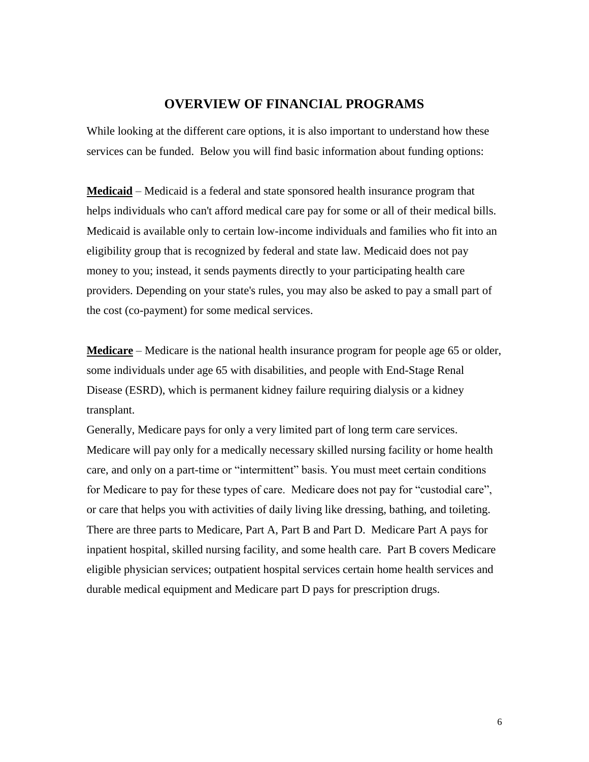### **OVERVIEW OF FINANCIAL PROGRAMS**

While looking at the different care options, it is also important to understand how these services can be funded. Below you will find basic information about funding options:

**Medicaid** – Medicaid is a federal and state sponsored health insurance program that helps individuals who can't afford medical care pay for some or all of their medical bills. Medicaid is available only to certain low-income individuals and families who fit into an eligibility group that is recognized by federal and state law. Medicaid does not pay money to you; instead, it sends payments directly to your participating health care providers. Depending on your state's rules, you may also be asked to pay a small part of the cost (co-payment) for some medical services.

**Medicare** – Medicare is the national health insurance program for people age 65 or older, some individuals under age 65 with disabilities, and people with End-Stage Renal Disease (ESRD), which is permanent kidney failure requiring dialysis or a kidney transplant.

Generally, Medicare pays for only a very limited part of long term care services. Medicare will pay only for a medically necessary skilled nursing facility or home health care, and only on a part-time or "intermittent" basis. You must meet certain conditions for Medicare to pay for these types of care. Medicare does not pay for "custodial care", or care that helps you with activities of daily living like dressing, bathing, and toileting. There are three parts to Medicare, Part A, Part B and Part D. Medicare Part A pays for inpatient hospital, skilled nursing facility, and some health care. Part B covers Medicare eligible physician services; outpatient hospital services certain home health services and durable medical equipment and Medicare part D pays for prescription drugs.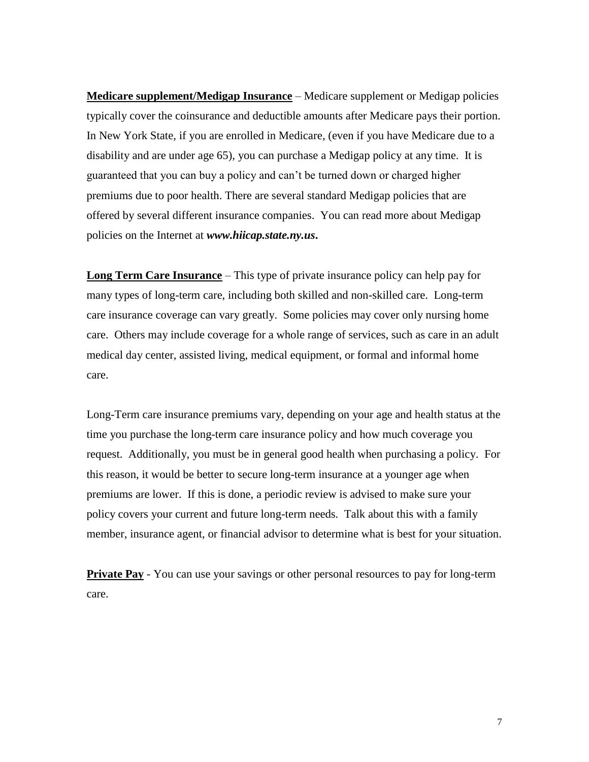**Medicare supplement/Medigap Insurance** – Medicare supplement or Medigap policies typically cover the coinsurance and deductible amounts after Medicare pays their portion. In New York State, if you are enrolled in Medicare, (even if you have Medicare due to a disability and are under age 65), you can purchase a Medigap policy at any time. It is guaranteed that you can buy a policy and can't be turned down or charged higher premiums due to poor health. There are several standard Medigap policies that are offered by several different insurance companies. You can read more about Medigap policies on the Internet at *www.hiicap.state.ny.us***.**

**Long Term Care Insurance** – This type of private insurance policy can help pay for many types of long-term care, including both skilled and non-skilled care. Long-term care insurance coverage can vary greatly. Some policies may cover only nursing home care. Others may include coverage for a whole range of services, such as care in an adult medical day center, assisted living, medical equipment, or formal and informal home care.

Long-Term care insurance premiums vary, depending on your age and health status at the time you purchase the long-term care insurance policy and how much coverage you request. Additionally, you must be in general good health when purchasing a policy. For this reason, it would be better to secure long-term insurance at a younger age when premiums are lower. If this is done, a periodic review is advised to make sure your policy covers your current and future long-term needs. Talk about this with a family member, insurance agent, or financial advisor to determine what is best for your situation.

**Private Pay** - You can use your savings or other personal resources to pay for long-term care.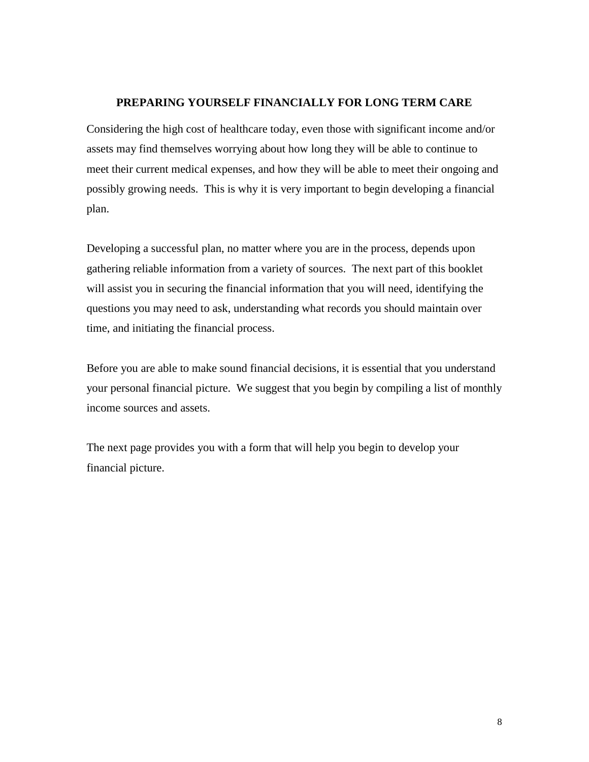#### **PREPARING YOURSELF FINANCIALLY FOR LONG TERM CARE**

Considering the high cost of healthcare today, even those with significant income and/or assets may find themselves worrying about how long they will be able to continue to meet their current medical expenses, and how they will be able to meet their ongoing and possibly growing needs. This is why it is very important to begin developing a financial plan.

Developing a successful plan, no matter where you are in the process, depends upon gathering reliable information from a variety of sources. The next part of this booklet will assist you in securing the financial information that you will need, identifying the questions you may need to ask, understanding what records you should maintain over time, and initiating the financial process.

Before you are able to make sound financial decisions, it is essential that you understand your personal financial picture. We suggest that you begin by compiling a list of monthly income sources and assets.

The next page provides you with a form that will help you begin to develop your financial picture.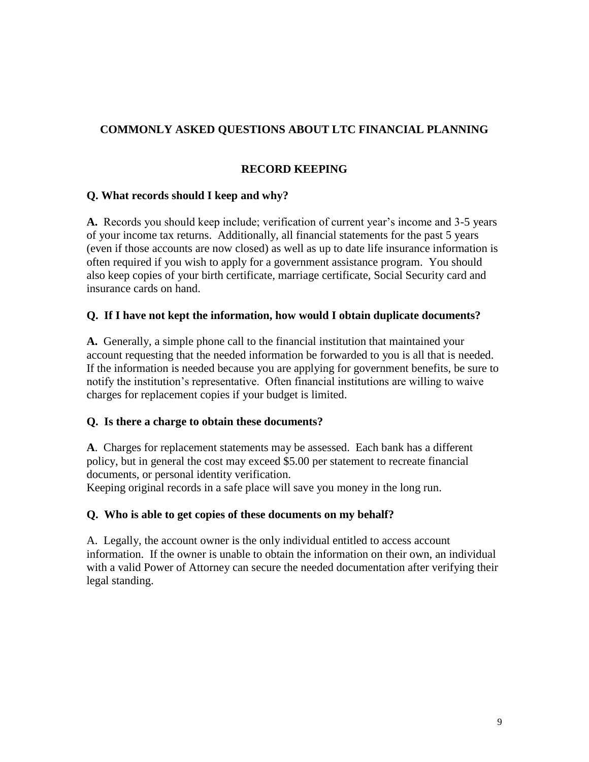## **COMMONLY ASKED QUESTIONS ABOUT LTC FINANCIAL PLANNING**

## **RECORD KEEPING**

## **Q. What records should I keep and why?**

**A.** Records you should keep include; verification of current year's income and 3-5 years of your income tax returns. Additionally, all financial statements for the past 5 years (even if those accounts are now closed) as well as up to date life insurance information is often required if you wish to apply for a government assistance program. You should also keep copies of your birth certificate, marriage certificate, Social Security card and insurance cards on hand.

## **Q. If I have not kept the information, how would I obtain duplicate documents?**

**A.** Generally, a simple phone call to the financial institution that maintained your account requesting that the needed information be forwarded to you is all that is needed. If the information is needed because you are applying for government benefits, be sure to notify the institution's representative. Often financial institutions are willing to waive charges for replacement copies if your budget is limited.

## **Q. Is there a charge to obtain these documents?**

**A**. Charges for replacement statements may be assessed. Each bank has a different policy, but in general the cost may exceed \$5.00 per statement to recreate financial documents, or personal identity verification.

Keeping original records in a safe place will save you money in the long run.

#### **Q. Who is able to get copies of these documents on my behalf?**

A. Legally, the account owner is the only individual entitled to access account information. If the owner is unable to obtain the information on their own, an individual with a valid Power of Attorney can secure the needed documentation after verifying their legal standing.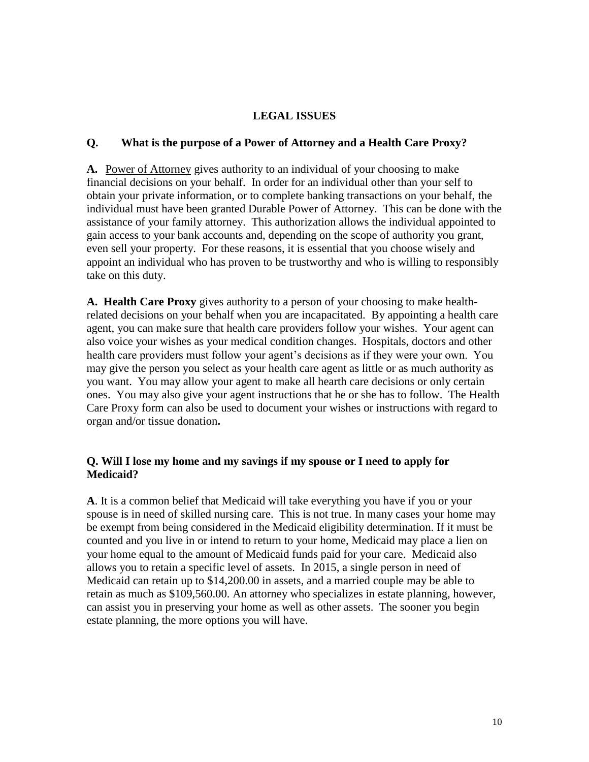### **LEGAL ISSUES**

#### **Q. What is the purpose of a Power of Attorney and a Health Care Proxy?**

**A.** Power of Attorney gives authority to an individual of your choosing to make financial decisions on your behalf. In order for an individual other than your self to obtain your private information, or to complete banking transactions on your behalf, the individual must have been granted Durable Power of Attorney. This can be done with the assistance of your family attorney. This authorization allows the individual appointed to gain access to your bank accounts and, depending on the scope of authority you grant, even sell your property. For these reasons, it is essential that you choose wisely and appoint an individual who has proven to be trustworthy and who is willing to responsibly take on this duty.

**A. Health Care Proxy** gives authority to a person of your choosing to make healthrelated decisions on your behalf when you are incapacitated. By appointing a health care agent, you can make sure that health care providers follow your wishes. Your agent can also voice your wishes as your medical condition changes. Hospitals, doctors and other health care providers must follow your agent's decisions as if they were your own. You may give the person you select as your health care agent as little or as much authority as you want. You may allow your agent to make all hearth care decisions or only certain ones. You may also give your agent instructions that he or she has to follow. The Health Care Proxy form can also be used to document your wishes or instructions with regard to organ and/or tissue donation**.**

### **Q. Will I lose my home and my savings if my spouse or I need to apply for Medicaid?**

**A**. It is a common belief that Medicaid will take everything you have if you or your spouse is in need of skilled nursing care. This is not true. In many cases your home may be exempt from being considered in the Medicaid eligibility determination. If it must be counted and you live in or intend to return to your home, Medicaid may place a lien on your home equal to the amount of Medicaid funds paid for your care. Medicaid also allows you to retain a specific level of assets. In 2015, a single person in need of Medicaid can retain up to \$14,200.00 in assets, and a married couple may be able to retain as much as \$109,560.00. An attorney who specializes in estate planning, however, can assist you in preserving your home as well as other assets. The sooner you begin estate planning, the more options you will have.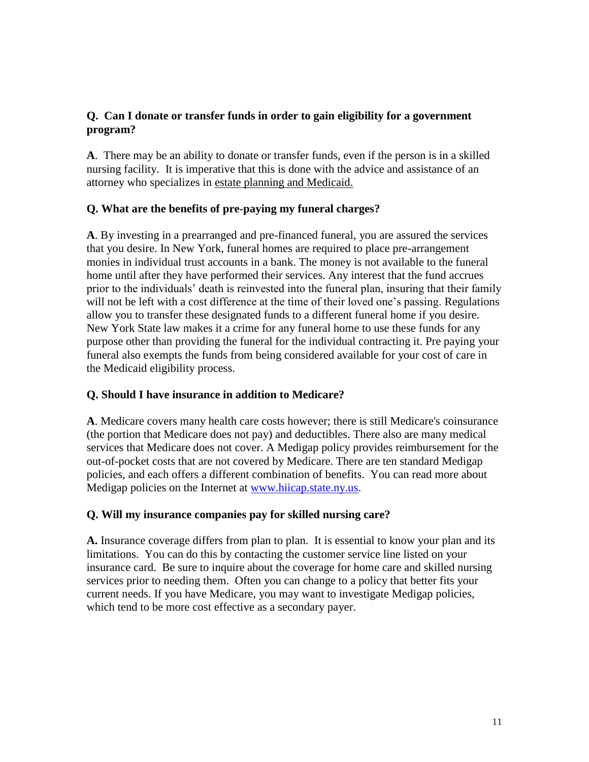## **Q. Can I donate or transfer funds in order to gain eligibility for a government program?**

**A**. There may be an ability to donate or transfer funds, even if the person is in a skilled nursing facility. It is imperative that this is done with the advice and assistance of an attorney who specializes in estate planning and Medicaid.

## **Q. What are the benefits of pre-paying my funeral charges?**

**A**. By investing in a prearranged and pre-financed funeral, you are assured the services that you desire. In New York, funeral homes are required to place pre-arrangement monies in individual trust accounts in a bank. The money is not available to the funeral home until after they have performed their services. Any interest that the fund accrues prior to the individuals' death is reinvested into the funeral plan, insuring that their family will not be left with a cost difference at the time of their loved one's passing. Regulations allow you to transfer these designated funds to a different funeral home if you desire. New York State law makes it a crime for any funeral home to use these funds for any purpose other than providing the funeral for the individual contracting it. Pre paying your funeral also exempts the funds from being considered available for your cost of care in the Medicaid eligibility process.

## **Q. Should I have insurance in addition to Medicare?**

**A**. Medicare covers many health care costs however; there is still Medicare's coinsurance (the portion that Medicare does not pay) and deductibles. There also are many medical services that Medicare does not cover. A Medigap policy provides reimbursement for the out-of-pocket costs that are not covered by Medicare. There are ten standard Medigap policies, and each offers a different combination of benefits. You can read more about Medigap policies on the Internet at [www.hiicap.state.ny.us.](http://www.hiicap.state.ny.us/)

## **Q. Will my insurance companies pay for skilled nursing care?**

**A.** Insurance coverage differs from plan to plan. It is essential to know your plan and its limitations. You can do this by contacting the customer service line listed on your insurance card. Be sure to inquire about the coverage for home care and skilled nursing services prior to needing them. Often you can change to a policy that better fits your current needs. If you have Medicare, you may want to investigate Medigap policies, which tend to be more cost effective as a secondary payer.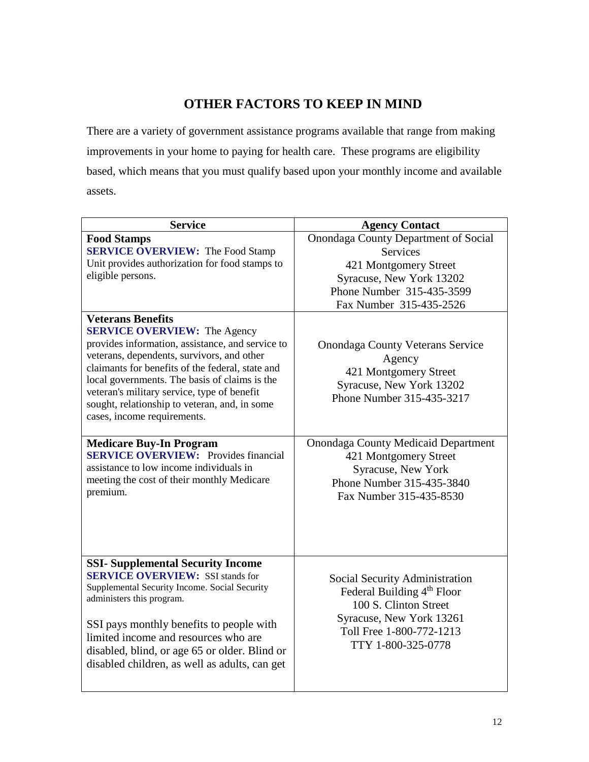## **OTHER FACTORS TO KEEP IN MIND**

There are a variety of government assistance programs available that range from making improvements in your home to paying for health care. These programs are eligibility based, which means that you must qualify based upon your monthly income and available assets.

| <b>Service</b>                                                                                                                                                                                                                                                                                                                                                            | <b>Agency Contact</b>                                                                                                                                                           |
|---------------------------------------------------------------------------------------------------------------------------------------------------------------------------------------------------------------------------------------------------------------------------------------------------------------------------------------------------------------------------|---------------------------------------------------------------------------------------------------------------------------------------------------------------------------------|
| <b>Food Stamps</b><br><b>SERVICE OVERVIEW:</b> The Food Stamp<br>Unit provides authorization for food stamps to<br>eligible persons.<br><b>Veterans Benefits</b>                                                                                                                                                                                                          | <b>Onondaga County Department of Social</b><br><b>Services</b><br>421 Montgomery Street<br>Syracuse, New York 13202<br>Phone Number 315-435-3599<br>Fax Number 315-435-2526     |
| <b>SERVICE OVERVIEW:</b> The Agency<br>provides information, assistance, and service to<br>veterans, dependents, survivors, and other<br>claimants for benefits of the federal, state and<br>local governments. The basis of claims is the<br>veteran's military service, type of benefit<br>sought, relationship to veteran, and, in some<br>cases, income requirements. | <b>Onondaga County Veterans Service</b><br>Agency<br>421 Montgomery Street<br>Syracuse, New York 13202<br>Phone Number 315-435-3217                                             |
| <b>Medicare Buy-In Program</b><br><b>SERVICE OVERVIEW:</b> Provides financial<br>assistance to low income individuals in<br>meeting the cost of their monthly Medicare<br>premium.                                                                                                                                                                                        | <b>Onondaga County Medicaid Department</b><br>421 Montgomery Street<br>Syracuse, New York<br>Phone Number 315-435-3840<br>Fax Number 315-435-8530                               |
| <b>SSI- Supplemental Security Income</b><br><b>SERVICE OVERVIEW: SSI stands for</b><br>Supplemental Security Income. Social Security<br>administers this program.<br>SSI pays monthly benefits to people with<br>limited income and resources who are<br>disabled, blind, or age 65 or older. Blind or<br>disabled children, as well as adults, can get                   | Social Security Administration<br>Federal Building 4 <sup>th</sup> Floor<br>100 S. Clinton Street<br>Syracuse, New York 13261<br>Toll Free 1-800-772-1213<br>TTY 1-800-325-0778 |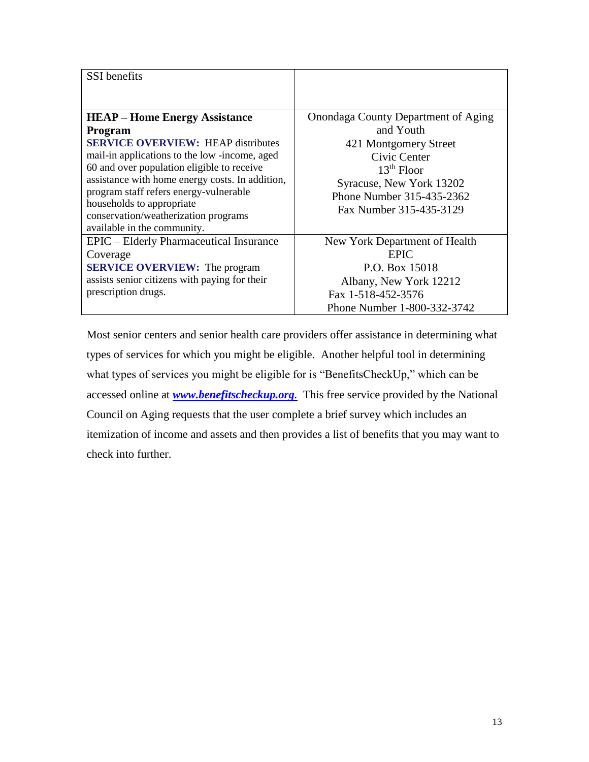| <b>SSI</b> benefits                                                                                                                                                                                                                                                                                                                                                                         |                                                                                                                                                                                               |
|---------------------------------------------------------------------------------------------------------------------------------------------------------------------------------------------------------------------------------------------------------------------------------------------------------------------------------------------------------------------------------------------|-----------------------------------------------------------------------------------------------------------------------------------------------------------------------------------------------|
|                                                                                                                                                                                                                                                                                                                                                                                             |                                                                                                                                                                                               |
| <b>HEAP – Home Energy Assistance</b><br>Program<br><b>SERVICE OVERVIEW: HEAP distributes</b><br>mail-in applications to the low-income, aged<br>60 and over population eligible to receive<br>assistance with home energy costs. In addition,<br>program staff refers energy-vulnerable<br>households to appropriate<br>conservation/weatherization programs<br>available in the community. | Onondaga County Department of Aging<br>and Youth<br>421 Montgomery Street<br>Civic Center<br>$13th$ Floor<br>Syracuse, New York 13202<br>Phone Number 315-435-2362<br>Fax Number 315-435-3129 |
| EPIC – Elderly Pharmaceutical Insurance<br>Coverage<br><b>SERVICE OVERVIEW:</b> The program<br>assists senior citizens with paying for their<br>prescription drugs.                                                                                                                                                                                                                         | New York Department of Health<br><b>EPIC</b><br>P.O. Box 15018<br>Albany, New York 12212<br>Fax 1-518-452-3576<br>Phone Number 1-800-332-3742                                                 |

Most senior centers and senior health care providers offer assistance in determining what types of services for which you might be eligible. Another helpful tool in determining what types of services you might be eligible for is "BenefitsCheckUp," which can be accessed online at *[www.benefitscheckup.org](http://www.benefitscheckup.org/).* This free service provided by the National Council on Aging requests that the user complete a brief survey which includes an itemization of income and assets and then provides a list of benefits that you may want to check into further.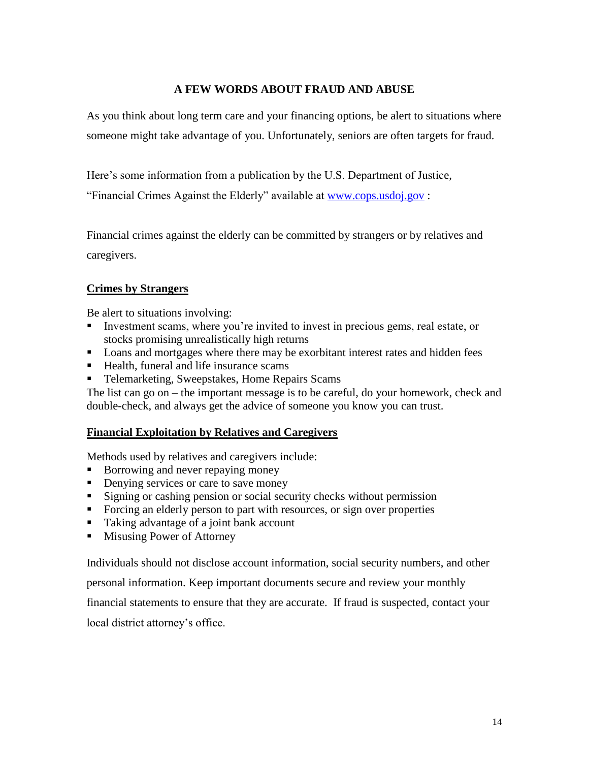### **A FEW WORDS ABOUT FRAUD AND ABUSE**

As you think about long term care and your financing options, be alert to situations where someone might take advantage of you. Unfortunately, seniors are often targets for fraud.

Here's some information from a publication by the U.S. Department of Justice,

"Financial Crimes Against the Elderly" available at [www.cops.usdoj.gov](http://www.cops.usdog.gov/) :

Financial crimes against the elderly can be committed by strangers or by relatives and caregivers.

### **Crimes by Strangers**

Be alert to situations involving:

- Investment scams, where you're invited to invest in precious gems, real estate, or stocks promising unrealistically high returns
- **Loans and mortgages where there may be exorbitant interest rates and hidden fees**
- Health, funeral and life insurance scams
- Telemarketing, Sweepstakes, Home Repairs Scams

The list can go on – the important message is to be careful, do your homework, check and double-check, and always get the advice of someone you know you can trust.

#### **Financial Exploitation by Relatives and Caregivers**

Methods used by relatives and caregivers include:

- Borrowing and never repaying money
- Denying services or care to save money
- Signing or cashing pension or social security checks without permission
- Forcing an elderly person to part with resources, or sign over properties
- Taking advantage of a joint bank account
- **Misusing Power of Attorney**

Individuals should not disclose account information, social security numbers, and other

personal information. Keep important documents secure and review your monthly

financial statements to ensure that they are accurate. If fraud is suspected, contact your

local district attorney's office.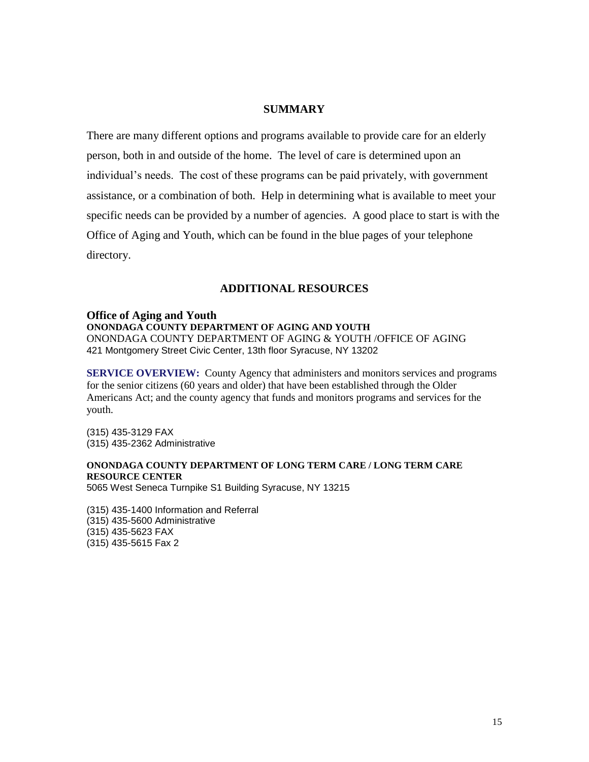#### **SUMMARY**

There are many different options and programs available to provide care for an elderly person, both in and outside of the home. The level of care is determined upon an individual's needs. The cost of these programs can be paid privately, with government assistance, or a combination of both. Help in determining what is available to meet your specific needs can be provided by a number of agencies. A good place to start is with the Office of Aging and Youth, which can be found in the blue pages of your telephone directory.

#### **ADDITIONAL RESOURCES**

#### **Office of Aging and Youth ONONDAGA COUNTY DEPARTMENT OF AGING AND YOUTH**  ONONDAGA COUNTY DEPARTMENT OF AGING & YOUTH /OFFICE OF AGING 421 Montgomery Street Civic Center, 13th floor Syracuse, NY 13202

**SERVICE OVERVIEW:** County Agency that administers and monitors services and programs for the senior citizens (60 years and older) that have been established through the Older Americans Act; and the county agency that funds and monitors programs and services for the youth.

(315) 435-3129 FAX (315) 435-2362 Administrative

#### **ONONDAGA COUNTY DEPARTMENT OF LONG TERM CARE / LONG TERM CARE RESOURCE CENTER**

5065 West Seneca Turnpike S1 Building Syracuse, NY 13215

(315) 435-1400 Information and Referral (315) 435-5600 Administrative (315) 435-5623 FAX (315) 435-5615 Fax 2